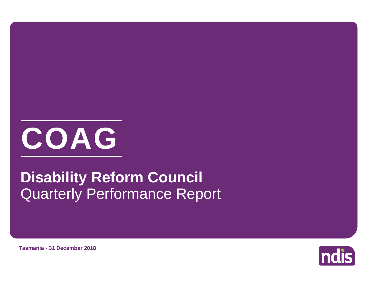

# Quarterly Performance Report **Disability Reform Council**



**Tasmania - 31 December 2018**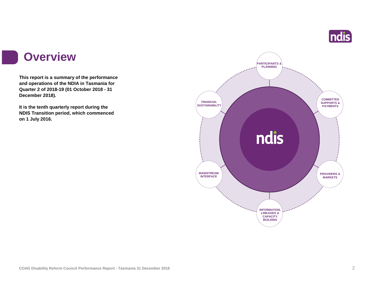

### **Overview**

I

**This report is a summary of the performance and operations of the NDIA in Tasmania for Quarter 2 of 2018-19 (01 October 2018 - 31 December 2018).**

**It is the tenth quarterly report during the NDIS Transition period, which commenced on 1 July 2016.** 

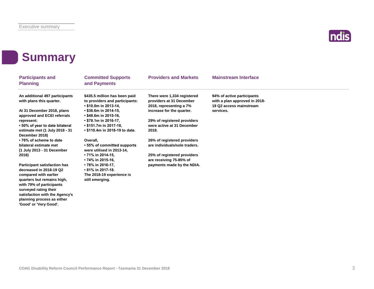

# **Summary**

**planning process as either 'Good' or 'Very Good'.**

| <b>Participants and</b><br><b>Planning</b>                                                               | <b>Committed Supports</b><br>and Payments                                                | <b>Providers and Markets</b>                                                       | <b>Mainstream Interface</b>                                                            |
|----------------------------------------------------------------------------------------------------------|------------------------------------------------------------------------------------------|------------------------------------------------------------------------------------|----------------------------------------------------------------------------------------|
| An additional 497 participants<br>with plans this quarter.                                               | \$435.5 million has been paid<br>to providers and participants:<br>• \$10.0m in 2013-14, | There were 1,334 registered<br>providers at 31 December<br>2018, representing a 7% | 94% of active participants<br>with a plan approved in 2018-<br>19 Q2 access mainstream |
| At 31 December 2018, plans<br>approved and ECEI referrals                                                | • \$36.6m in 2014-15,<br>• \$48.6m in 2015-16,                                           | increase for the quarter.                                                          | services.                                                                              |
| represent:                                                                                               | • \$78.1m in 2016-17,                                                                    | 29% of registered providers<br>were active at 31 December                          |                                                                                        |
| •50% of year to date bilateral<br>estimate met (1 July 2018 - 31<br>December 2018)                       | • \$151.7m in 2017-18,<br>• \$110.4m in 2018-19 to date.                                 | 2018.                                                                              |                                                                                        |
| •76% of scheme to date                                                                                   | Overall,                                                                                 | 26% of registered providers                                                        |                                                                                        |
| bilateral estimate met<br>(1 July 2013 - 31 December                                                     | • 55% of committed supports<br>were utilised in 2013-14,                                 | are individuals/sole traders.                                                      |                                                                                        |
| 2018)                                                                                                    | • 71% in 2014-15,<br>• 74% in 2015-16,                                                   | 25% of registered providers<br>are receiving 75-85% of                             |                                                                                        |
| <b>Participant satisfaction has</b><br>decreased in 2018-19 Q2                                           | • 78% in 2016-17,<br>$\cdot$ 81% in 2017-18.                                             | payments made by the NDIA.                                                         |                                                                                        |
| compared with earlier<br>quarters but remains high,<br>with 79% of participants<br>surveyed rating their | The 2018-19 experience is<br>still emerging.                                             |                                                                                    |                                                                                        |
| satisfaction with the Agency's                                                                           |                                                                                          |                                                                                    |                                                                                        |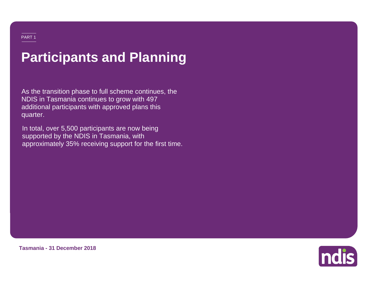# **Participants and Planning**

As the transition phase to full scheme continues, the NDIS in Tasmania continues to grow with 497 additional participants with approved plans this quarter.

In total, over 5,500 participants are now being supported by the NDIS in Tasmania, with approximately 35% receiving support for the first time.



**Tasmania - 31 December 2018**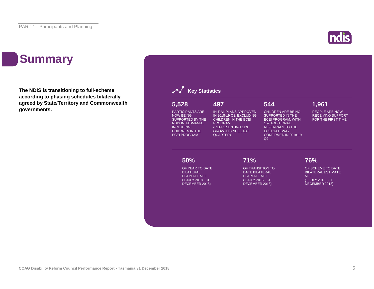# **Summary**

**The NDIS is transitioning to full-scheme according to phasing schedules bilaterally agreed by State/Territory and Commonwealth governments.**





ndis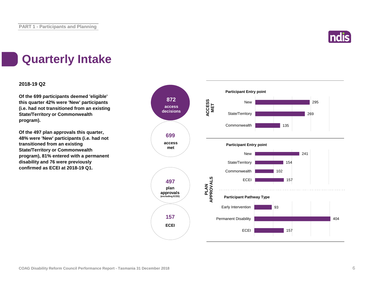

# **Quarterly Intake**

### **2018-19 Q2**

**Of the 699 participants deemed 'eligible' this quarter 42% were 'New' participants (i.e. had not transitioned from an existing State/Territory or Commonwealth program).**

**Of the 497 plan approvals this quarter, 48% were 'New' participants (i.e. had not transitioned from an existing State/Territory or Commonwealth program), 81% entered with a permanent disability and 76 were previously confirmed as ECEI at 2018-19 Q1.**

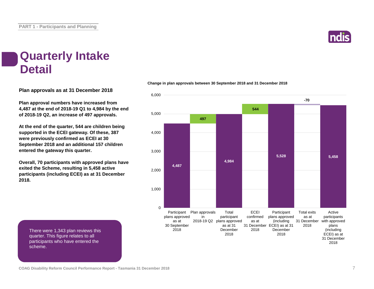

### **Quarterly Intake Detail**

**Plan approvals as at 31 December 2018**

**Plan approval numbers have increased from 4,487 at the end of 2018-19 Q1 to 4,984 by the end of 2018-19 Q2, an increase of 497 approvals.**

**At the end of the quarter, 544 are children being supported in the ECEI gateway. Of these, 387 were previously confirmed as ECEI at 30 September 2018 and an additional 157 children entered the gateway this quarter.**

**Overall, 70 participants with approved plans have exited the Scheme, resulting in 5,458 active participants (including ECEI) as at 31 December 2018.**

#### **Change in plan approvals between 30 September 2018 and 31 December 2018**



There were 1,343 plan reviews this quarter. This figure relates to all participants who have entered the scheme.

**COAG Disability Reform Council Performance Report - Tasmania 31 December 2018** 7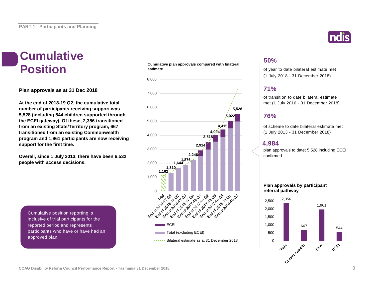# **Cumulative**

**Plan approvals as at 31 Dec 2018**

**At the end of 2018-19 Q2, the cumulative total number of participants receiving support was 5,528 (including 544 children supported through the ECEI gateway). Of these, 2,356 transitioned from an existing State/Territory program, 667 transitioned from an existing Commonwealth program and 1,961 participants are now receiving support for the first time.**

**Overall, since 1 July 2013, there have been 6,532 people with access decisions.**

Cumulative position reporting is inclusive of trial participants for the reported period and represents participants who have or have had an approved plan.

#### **Cumulative plan approvals compared with bilateral estimate Position** cumulative plan approvais compared with bilateral of year to date bilateral estimate met





### **50%**

(1 July 2018 - 31 December 2018)

### **71%**

of transition to date bilateral estimate met (1 July 2016 - 31 December 2018)

### **76%**

of scheme to date bilateral estimate met (1 July 2013 - 31 December 2018)

### **4,984**

plan approvals to date; 5,528 including ECEI confirmed

### **Plan approvals by participant referral pathway**

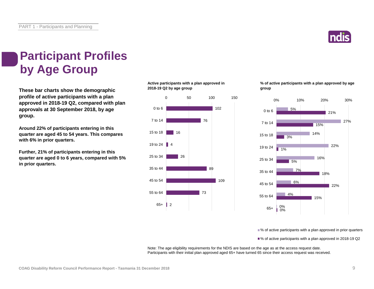

# **Participant Profiles by Age Group**

**These bar charts show the demographic profile of active participants with a plan approved in 2018-19 Q2, compared with plan approvals at 30 September 2018, by age group.**

**Around 22% of participants entering in this quarter are aged 45 to 54 years. This compares with 6% in prior quarters.**

**Further, 21% of participants entering in this quarter are aged 0 to 6 years, compared with 5% in prior quarters.**

**Active participants with a plan approved in 2018-19 Q2 by age group**



**% of active participants with a plan approved by age group**



■ % of active participants with a plan approved in prior quarters

■% of active participants with a plan approved in 2018-19 Q2

Note: The age eligibility requirements for the NDIS are based on the age as at the access request date. Participants with their initial plan approved aged 65+ have turned 65 since their access request was received.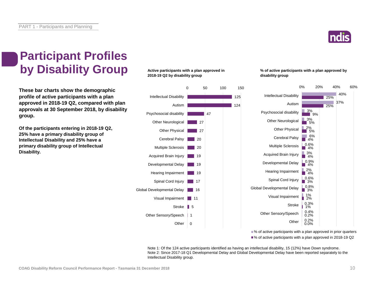

# **Participant Profiles by Disability Group**

**These bar charts show the demographic profile of active participants with a plan approved in 2018-19 Q2, compared with plan approvals at 30 September 2018, by disability group.**

**Of the participants entering in 2018-19 Q2, 25% have a primary disability group of Intellectual Disability and 25% have a primary disability group of Intellectual Disability.**

**Active participants with a plan approved in 2018-19 Q2 by disability group**



**% of active participants with a plan approved by disability group**



■% of active participants with a plan approved in prior quarters ■% of active participants with a plan approved in 2018-19 Q2

Note 1: Of the 124 active participants identified as having an intellectual disability, 15 (12%) have Down syndrome. Note 2: Since 2017-18 Q1 Developmental Delay and Global Developmental Delay have been reported separately to the Intellectual Disability group.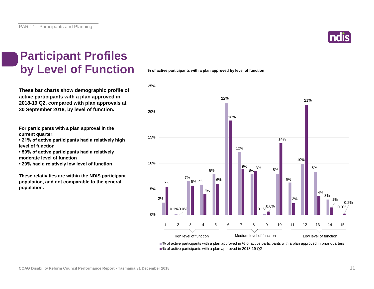

# **Participant Profiles by Level of Function**

**These bar charts show demographic profile of active participants with a plan approved in 2018-19 Q2, compared with plan approvals at 30 September 2018, by level of function.**

**For participants with a plan approval in the current quarter:** 

**• 21% of active participants had a relatively high level of function**

**• 50% of active participants had a relatively moderate level of function** 

**• 29% had a relatively low level of function**

**These relativities are within the NDIS participant population, and not comparable to the general population.**

**% of active participants with a plan approved by level of function**



■% of active participants with a plan approved in % of active participants with a plan approved in prior quarters ■% of active participants with a plan approved in 2018-19 Q2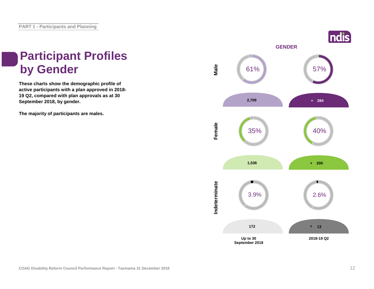# **Participant Profiles**

**These charts show the demographic profile of active participants with a plan approved in 2018- 19 Q2, compared with plan approvals as at 30 September 2018, by gender.**

**The majority of participants are males.**

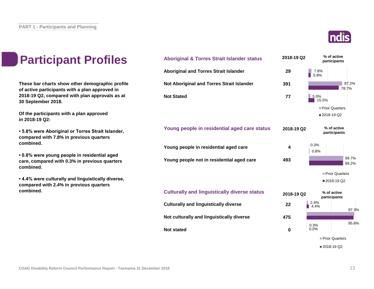

| S    | <b>Aboriginal &amp; Torres Strait Islander status</b> | 2018-19 Q2  | % of active<br>participants |  |
|------|-------------------------------------------------------|-------------|-----------------------------|--|
|      | <b>Aboriginal and Torres Strait Islander</b>          | 29          | 7.8%<br>5.8%                |  |
| file | Not Aboriginal and Torres Strait Islander             | 391         | 87.2%<br>78.7%              |  |
| at   | <b>Not Stated</b>                                     | 77          | 5.0%<br>15.5%               |  |
|      |                                                       |             | Prior Quarters              |  |
|      |                                                       |             | 2018-19 Q2                  |  |
| , ا  | Young people in residential aged care status          | 2018-19 Q2  | % of active<br>participants |  |
|      | Young people in residential aged care                 | 4           | 0.3%<br>0.8%                |  |
|      | Young people not in residential aged care             | 493         | 99.7%<br>99.2%              |  |
|      |                                                       |             | Prior Quarters              |  |
| э,   |                                                       |             | 2018-19 Q2                  |  |
|      | <b>Culturally and linguistically diverse status</b>   | 2018-19 Q2  | % of active<br>participants |  |
|      | <b>Culturally and linguistically diverse</b>          | 22          | 2.4%<br>4.4%<br>97.3%       |  |
|      | Not culturally and linguistically diverse             | 475         | 95.6%                       |  |
|      | <b>Not stated</b>                                     | $\mathbf 0$ | 0.3%<br>0.0%                |  |
|      |                                                       |             | Prior Quarters              |  |
|      |                                                       |             | ■2018-19 Q2                 |  |

### **Participant Profiles**

These bar charts show other demographic prof **of active participants with a plan approved in**  2018-19 Q2, compared with plan approvals as **30 September 2018.**

**Of the participants with a plan approved in 2018-19 Q2:**

**• 5.8% were Aboriginal or Torres Strait Islander, compared with 7.8% in previous quarters combined.**

**• 0.8% were young people in residential aged care, compared with 0.3% in previous quarters combined.**

**• 4.4% were culturally and linguistically diverse, compared with 2.4% in previous quarters combined.**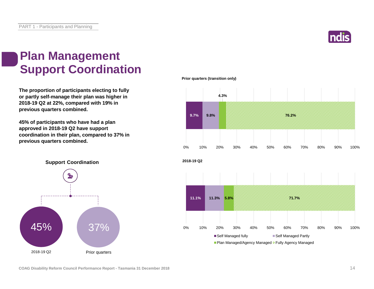

# **Plan Management Support Coordination**

**The proportion of participants electing to fully or partly self-manage their plan was higher in 2018-19 Q2 at 22%, compared with 19% in previous quarters combined.**

**45% of participants who have had a plan approved in 2018-19 Q2 have support coordination in their plan, compared to 37% in previous quarters combined.**





**Support Coordination**

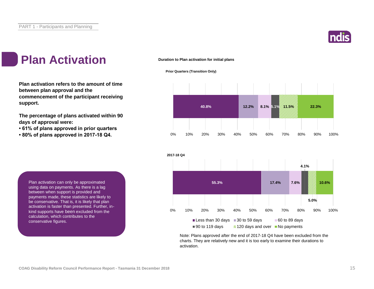

# **Plan Activation 1** Duration to Plan activation for initial plans

**Plan activation refers to the amount of time between plan approval and the commencement of the participant receiving support.**

**The percentage of plans activated within 90 days of approval were:** 

- **61% of plans approved in prior quarters**
- **80% of plans approved in 2017-18 Q4.**

**Prior Quarters (Transition Only)**





Note: Plans approved after the end of 2017-18 Q4 have been excluded from the charts. They are relatively new and it is too early to examine their durations to activation.

Plan activation can only be approximated using data on payments. As there is a lag between when support is provided and payments made, these statistics are likely to be conservative. That is, it is likely that plan activation is faster than presented. Further, inkind supports have been excluded from the calculation, which contributes to the conservative figures.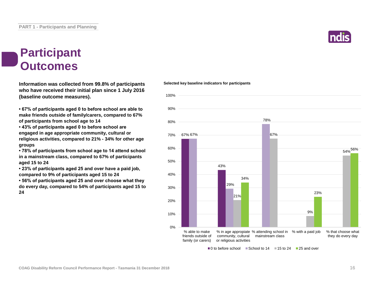

### **Participant Outcomes**

**Information was collected from 99.8% of participants who have received their initial plan since 1 July 2016 (baseline outcome measures).**

**• 67% of participants aged 0 to before school are able to make friends outside of family/carers, compared to 67% of participants from school age to 14**

**• 43% of participants aged 0 to before school are engaged in age appropriate community, cultural or religious activities, compared to 21% - 34% for other age groups**

**• 78% of participants from school age to 14 attend school in a mainstream class, compared to 67% of participants aged 15 to 24**

**• 23% of participants aged 25 and over have a paid job, compared to 9% of participants aged 15 to 24**

**• 56% of participants aged 25 and over choose what they do every day, compared to 54% of participants aged 15 to 24**

#### **Selected key baseline indicators for participants**



 $\Box$ 0 to before school  $\Box$  School to 14  $\Box$  15 to 24  $\Box$  25 and over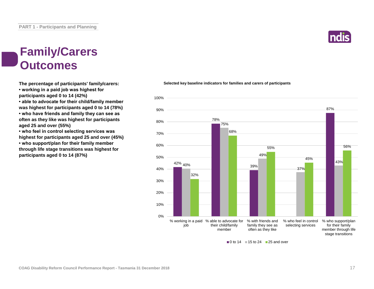# **Family/Carers Outcomes**

**The percentage of participants' family/carers: • working in a paid job was highest for participants aged 0 to 14 (42%) • able to advocate for their child/family member** 

**was highest for participants aged 0 to 14 (78%) • who have friends and family they can see as often as they like was highest for participants aged 25 and over (55%)**

**• who feel in control selecting services was highest for participants aged 25 and over (45%) • who support/plan for their family member through life stage transitions was highest for participants aged 0 to 14 (87%)**

### 78% 87% 75% 49% 68% 55% 50% 60% 70% 80% 90% 100%



#### $\blacksquare$  0 to 14  $\blacksquare$  15 to 24  $\blacksquare$  25 and over

### **Selected key baseline indicators for families and carers of participants**

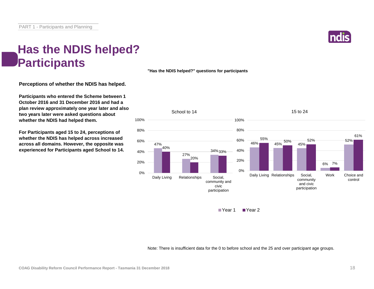# **Has the NDIS helped? Participants**

**Perceptions of whether the NDIS has helped.**

**Participants who entered the Scheme between 1 October 2016 and 31 December 2016 and had a plan review approximately one year later and also two years later were asked questions about whether the NDIS had helped them.**

**For Participants aged 15 to 24, perceptions of whether the NDIS has helped across increased across all domains. However, the opposite was experienced for Participants aged School to 14.**





■ Year 1 ■ Year 2

Note: There is insufficient data for the 0 to before school and the 25 and over participant age groups.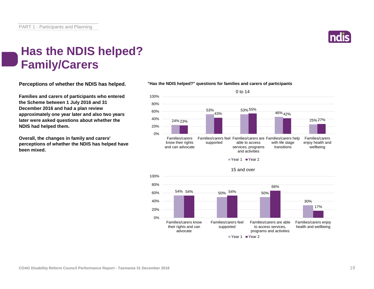

## **Has the NDIS helped? Family/Carers**

**Perceptions of whether the NDIS has helped.**

**Families and carers of participants who entered the Scheme between 1 July 2016 and 31 December 2016 and had a plan review approximately one year later and also two years later were asked questions about whether the NDIS had helped them.**

**Overall, the changes in family and carers' perceptions of whether the NDIS has helped have been mixed.**



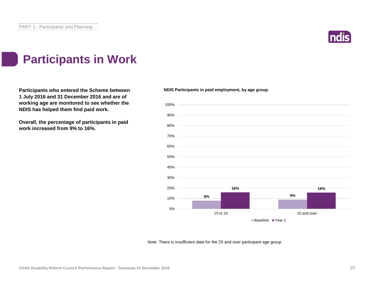

# **Participants in Work**

**Participants who entered the Scheme between 1 July 2016 and 31 December 2016 and are of working age are monitored to see whether the NDIS has helped them find paid work.**

**Overall, the percentage of participants in paid work increased from 9% to 16%.**

**NDIS Participants in paid employment, by age group.**



Note: There is insufficient data for the 25 and over participant age group.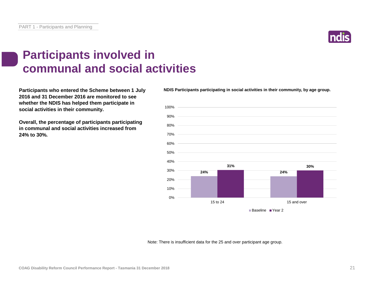# **Participants involved in communal and social activities**

**Participants who entered the Scheme between 1 July 2016 and 31 December 2016 are monitored to see whether the NDIS has helped them participate in social activities in their community.**

**Overall, the percentage of participants participating in communal and social activities increased from 24% to 30%.**

Note: There is insufficient data for the 25 and over participant age group.



**NDIS Participants participating in social activities in their community, by age group.**

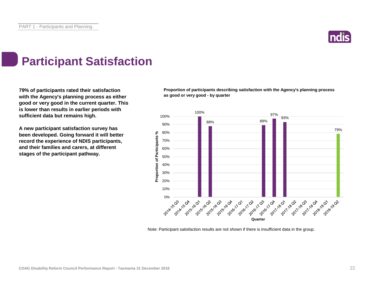

# **Participant Satisfaction**

**79% of participants rated their satisfaction with the Agency's planning process as either good or very good in the current quarter. This is lower than results in earlier periods with sufficient data but remains high.** 

**A new participant satisfaction survey has been developed. Going forward it will better record the experience of NDIS participants, and their families and carers, at different stages of the participant pathway.**

**Proportion of participants describing satisfaction with the Agency's planning process as good or very good - by quarter**



Note: Participant satisfaction results are not shown if there is insufficient data in the group.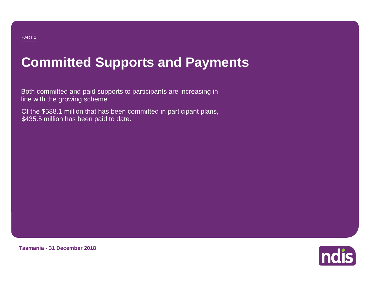# **Committed Supports and Payments**

Both committed and paid supports to participants are increasing in line with the growing scheme.

Of the \$588.1 million that has been committed in participant plans, \$435.5 million has been paid to date.



**Tasmania - 31 December 2018**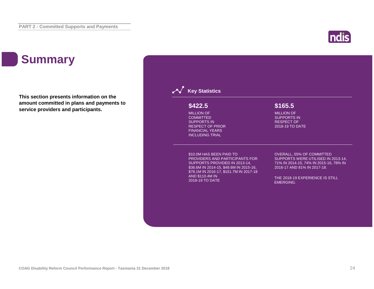# **ndis**

# **Summary**

**This section presents information on the amount committed in plans and payments to service providers and participants.**

### **Key Statistics** \$10.0M HAS BEEN PAID TO PROVIDERS AND PARTICIPANTS FOR SUPPORTS PROVIDED IN 2013-14, \$36.6M IN 2014-15, \$48.6M IN 2015-16, \$78.1M IN 2016-17, \$151.7M IN 2017-18 AND \$110.4M IN 2018-19 TO DATE OVERALL, 55% OF COMMITTED SUPPORTS WERE UTILISED IN 2013-14, 71% IN 2014-15, 74% IN 2015-16, 78% IN 2016-17 AND 81% IN 2017-18. THE 2018-19 EXPERIENCE IS STILL EMERGING. MILLION OF COMMITTED SUPPORTS IN RESPECT OF PRIOR FINANCIAL YEARS INCLUDING TRIAL **\$422.5** MILLION OF SUPPORTS IN RESPECT OF 2018-19 TO DATE **\$165.5**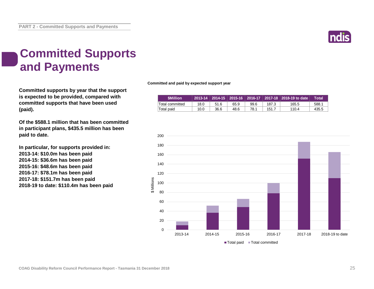

# **Committed Supports and Payments**

**Committed supports by year that the support is expected to be provided, compared with committed supports that have been used (paid).**

**Of the \$588.1 million that has been committed in participant plans, \$435.5 million has been paid to date.**

**In particular, for supports provided in: 2013-14: \$10.0m has been paid 2014-15: \$36.6m has been paid 2015-16: \$48.6m has been paid 2016-17: \$78.1m has been paid 2017-18: \$151.7m has been paid 2018-19 to date: \$110.4m has been paid** **Committed and paid by expected support year**

| <b>SMillion</b> |      |      |      |      |       | 2013-14 2014-15 2015-16 2016-17 2017-18 2018-19 to date | Total |
|-----------------|------|------|------|------|-------|---------------------------------------------------------|-------|
| Total committed | 18.0 | 51.6 | 65.9 | 99.6 | 187.3 | 165.5                                                   | 588.1 |
| Total paid      | 10.0 | 36.6 | 48.6 | 78.1 | 151.7 | 110.4                                                   | 435.5 |

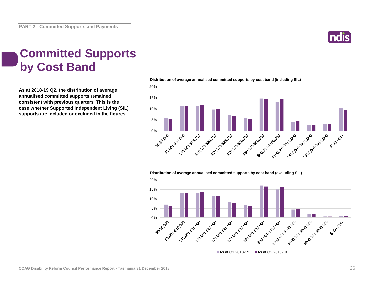

# **Committed Supports by Cost Band**

**As at 2018-19 Q2, the distribution of average annualised committed supports remained consistent with previous quarters. This is the case whether Supported Independent Living (SIL) supports are included or excluded in the figures.**



#### **Distribution of average annualised committed supports by cost band (including SIL)**

**Distribution of average annualised committed supports by cost band (excluding SIL)** 

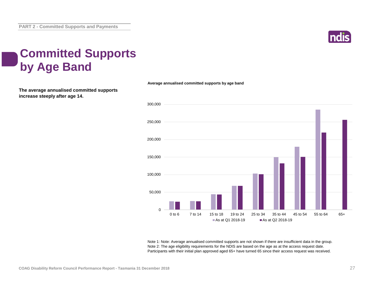

# **Committed Supports by Age Band**

**The average annualised committed supports increase steeply after age 14.**

**Average annualised committed supports by age band**



Note 1: Note: Average annualised committed supports are not shown if there are insufficient data in the group. Note 2: The age eligibility requirements for the NDIS are based on the age as at the access request date. Participants with their initial plan approved aged 65+ have turned 65 since their access request was received.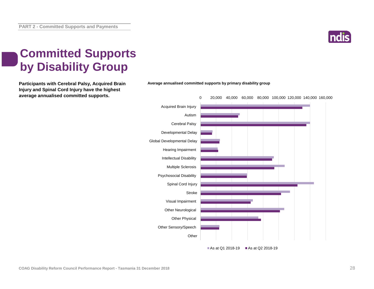

# **Committed Supports by Disability Group**

**Injury and Spinal Cord Injury have the highest average annualised committed supports.**



As at Q1 2018-19  $\blacksquare$  As at Q2 2018-19

**Participants with Cerebral Palsy, Acquired Brain Average annualised committed supports by primary disability group**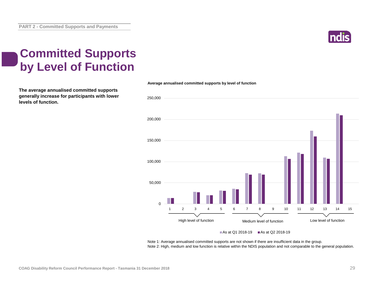

# **Committed Supports by Level of Function**

**The average annualised committed supports generally increase for participants with lower levels of function.**



**Average annualised committed supports by level of function**

#### As at Q1 2018-19  $\blacksquare$  As at Q2 2018-19

Note 1: Average annualised committed supports are not shown if there are insufficient data in the group. Note 2: High, medium and low function is relative within the NDIS population and not comparable to the general population.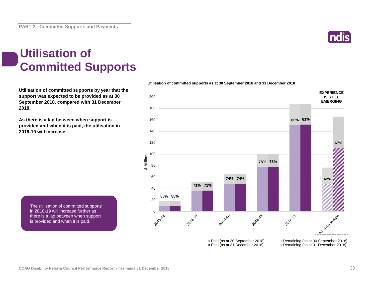

# **Utilisation of Committed Supports**

**Utilisation of committed supports by year that the support was expected to be provided as at 30 September 2018, compared with 31 December 2018.** 

**As there is a lag between when support is provided and when it is paid, the utilisation in 2018-19 will increase.**



**Utilisation of committed supports as at 30 September 2018 and 31 December 2018**

The utilisation of committed supports in 2018-19 will increase further as there is a lag between when support is provided and when it is paid.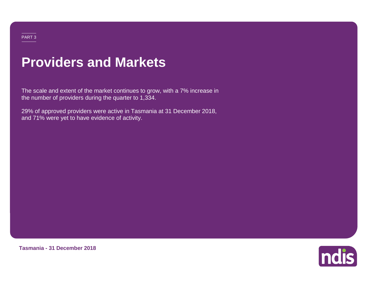# **Providers and Markets**

The scale and extent of the market continues to grow, with a 7% increase in the number of providers during the quarter to 1,334.

29% of approved providers were active in Tasmania at 31 December 2018, and 71% were yet to have evidence of activity.



**Tasmania - 31 December 2018**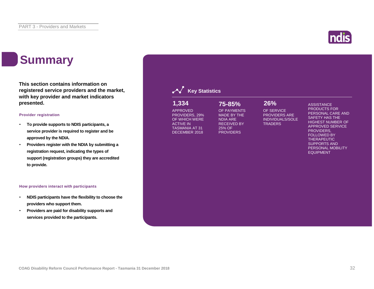# **Summary**

**This section contains information on registered service providers and the market, with key provider and market indicators presented.**

#### **Provider registration**

- **To provide supports to NDIS participants, a service provider is required to register and be approved by the NDIA.**
- **Providers register with the NDIA by submitting a registration request, indicating the types of support (registration groups) they are accredited to provide.**

#### **How providers interact with participants**

- **NDIS participants have the flexibility to choose the providers who support them.**
- **Providers are paid for disability supports and services provided to the participants.**

| 1,334<br><b>APPROVED</b><br>PROVIDERS, 29%<br>OF WHICH WERE<br><b>ACTIVE IN</b><br><b>TASMANIA AT 31</b><br>DECEMBER 2018 | 75-85%<br>OF PAYMENTS<br><b>MADE BY THE</b><br><b>NDIA ARE</b><br><b>RECEIVED BY</b><br>25% OF<br><b>PROVIDERS</b> | 26%<br>OF SERVICE<br><b>PROVIDERS ARE</b><br><b>INDIVIDUALS/SOLE</b><br><b>TRADERS</b> | <b>ASSISTANCE</b><br><b>PRODUCTS FOR</b><br>PERSONAL CARE AND<br><b>SAFETY HAS THE</b><br><b>HIGHEST NUMBER OF</b><br><b>APPROVED SERVICE</b><br>PROVIDERS,<br><b>FOLLOWED BY</b><br><b>THERAPEUTIC</b><br><b>SUPPORTS AND</b><br>PERSONAL MOBILITY<br><b>EQUIPMENT</b> |
|---------------------------------------------------------------------------------------------------------------------------|--------------------------------------------------------------------------------------------------------------------|----------------------------------------------------------------------------------------|-------------------------------------------------------------------------------------------------------------------------------------------------------------------------------------------------------------------------------------------------------------------------|
|                                                                                                                           |                                                                                                                    |                                                                                        |                                                                                                                                                                                                                                                                         |



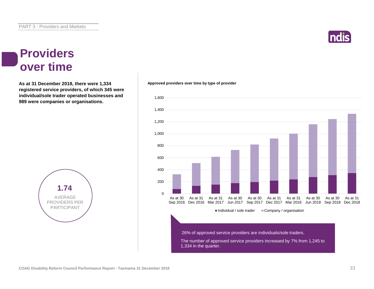### **Providers over time**

**As at 31 December 2018, there were 1,334 Approved providers over time by type of provider registered service providers, of which 345 were individual/sole trader operated businesses and 989 were companies or organisations.**



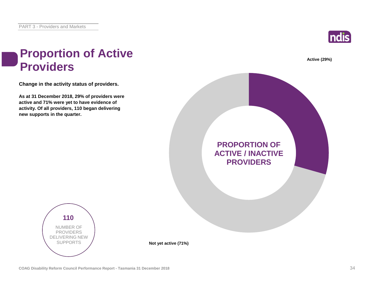

**Active (29%)**

## **Proportion of Active Providers**

**Change in the activity status of providers.**

**As at 31 December 2018, 29% of providers were active and 71% were yet to have evidence of activity. Of all providers, 110 began delivering new supports in the quarter.**





**Not yet active (71%)**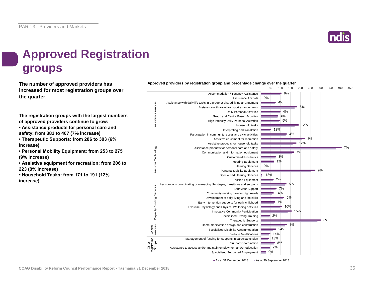

# **Approved Registration groups**

**The number of approved providers has** *Approved providers by registration group and percentage change over the quarter***<br>
<b>Approved providers** by registration group and percentage change over the quarter **increased for most registration groups over the quarter.**

**The registration groups with the largest numbers of approved providers continue to grow:**

**• Assistance products for personal care and safety: from 381 to 407 (7% increase)**

**• Therapeutic Supports: from 286 to 303 (6% increase)**

**• Personal Mobility Equipment: from 253 to 275 (9% increase)**

**• Assistive equipment for recreation: from 206 to 223 (8% increase)**

**• Household Tasks: from 171 to 191 (12% increase)**



As at 31 December 2018 As at 30 September 2018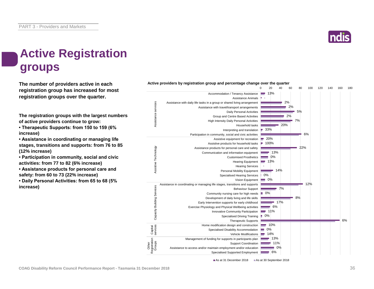

# **Active Registration groups**

**The number of providers active in each registration group has increased for most registration groups over the quarter.**

**The registration groups with the largest numbers of active providers continue to grow:**

**• Therapeutic Supports: from 150 to 159 (6% increase)**

**• Assistance in coordinating or managing life stages, transitions and supports: from 76 to 85 (12% increase)**

**• Participation in community, social and civic activities: from 77 to 82 (6% increase)**

**• Assistance products for personal care and safety: from 60 to 73 (22% increase)**

**• Daily Personal Activities: from 65 to 68 (5% increase)**



**Active providers by registration group and percentage change over the quarter**

As at 31 December 2018 As at 30 September 2018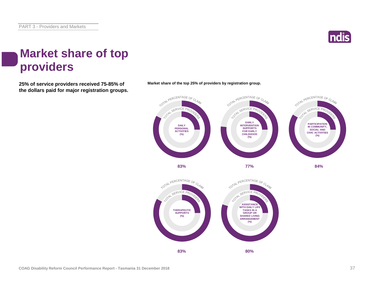

# **Market share of top providers**

**25% of service providers received 75-85% of the dollars paid for major registration groups.**



**Market share of the top 25% of providers by registration group.**

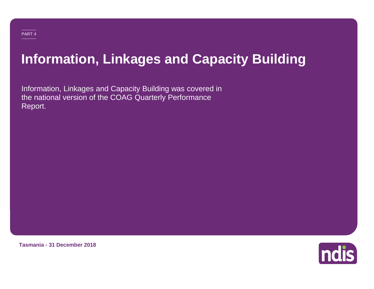# **Information, Linkages and Capacity Building**

Information, Linkages and Capacity Building was covered in the national version of the COAG Quarterly Performance Report.

**Tasmania - 31 December 2018**

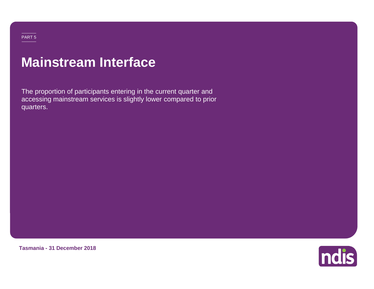### PART 5

# **Mainstream Interface**

The proportion of participants entering in the current quarter and accessing mainstream services is slightly lower compared to prior quarters.

**Tasmania - 31 December 2018**

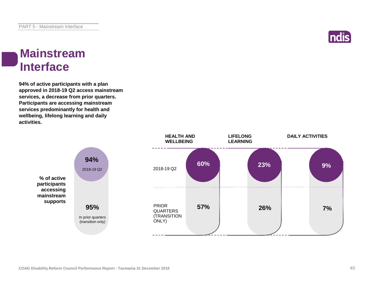

### **Mainstream Interface**

**94% of active participants with a plan approved in 2018-19 Q2 access mainstream services, a decrease from prior quarters. Participants are accessing mainstream services predominantly for health and wellbeing, lifelong learning and daily activities.**